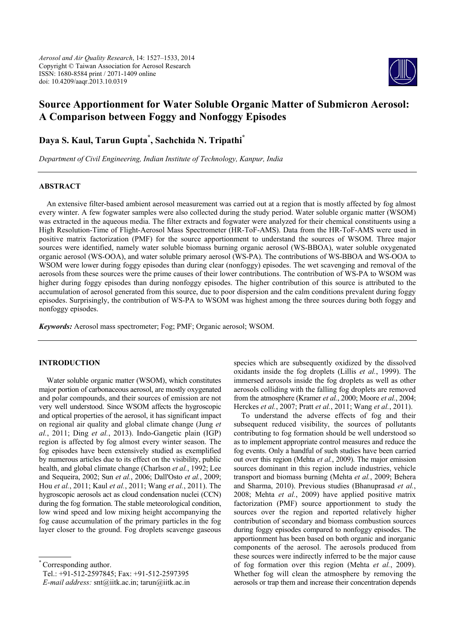*Aerosol and Air Quality Research*, 14: 1527–1533, 2014 Copyright © Taiwan Association for Aerosol Research ISSN: 1680-8584 print / 2071-1409 online doi: 10.4209/aaqr.2013.10.0319



# **Source Apportionment for Water Soluble Organic Matter of Submicron Aerosol: A Comparison between Foggy and Nonfoggy Episodes**

**Daya S. Kaul, Tarun Gupta\* , Sachchida N. Tripathi\***

*Department of Civil Engineering, Indian Institute of Technology, Kanpur, India* 

## **ABSTRACT**

An extensive filter-based ambient aerosol measurement was carried out at a region that is mostly affected by fog almost every winter. A few fogwater samples were also collected during the study period. Water soluble organic matter (WSOM) was extracted in the aqueous media. The filter extracts and fogwater were analyzed for their chemical constituents using a High Resolution-Time of Flight-Aerosol Mass Spectrometer (HR-ToF-AMS). Data from the HR-ToF-AMS were used in positive matrix factorization (PMF) for the source apportionment to understand the sources of WSOM. Three major sources were identified, namely water soluble biomass burning organic aerosol (WS-BBOA), water soluble oxygenated organic aerosol (WS-OOA), and water soluble primary aerosol (WS-PA). The contributions of WS-BBOA and WS-OOA to WSOM were lower during foggy episodes than during clear (nonfoggy) episodes. The wet scavenging and removal of the aerosols from these sources were the prime causes of their lower contributions. The contribution of WS-PA to WSOM was higher during foggy episodes than during nonfoggy episodes. The higher contribution of this source is attributed to the accumulation of aerosol generated from this source, due to poor dispersion and the calm conditions prevalent during foggy episodes. Surprisingly, the contribution of WS-PA to WSOM was highest among the three sources during both foggy and nonfoggy episodes.

*Keywords:* Aerosol mass spectrometer; Fog; PMF; Organic aerosol; WSOM.

## **INTRODUCTION**

Water soluble organic matter (WSOM), which constitutes major portion of carbonaceous aerosol, are mostly oxygenated and polar compounds, and their sources of emission are not very well understood. Since WSOM affects the hygroscopic and optical properties of the aerosol, it has significant impact on regional air quality and global climate change (Jung *et al.*, 2011; Ding *et al.*, 2013). Indo-Gangetic plain (IGP) region is affected by fog almost every winter season. The fog episodes have been extensively studied as exemplified by numerous articles due to its effect on the visibility, public health, and global climate change (Charlson *et al.*, 1992; Lee and Sequeira, 2002; Sun *et al.*, 2006; Dall'Osto *et al.*, 2009; Hou *et al.*, 2011; Kaul *et al.*, 2011; Wang *et al.*, 2011). The hygroscopic aerosols act as cloud condensation nuclei (CCN) during the fog formation. The stable meteorological condition, low wind speed and low mixing height accompanying the fog cause accumulation of the primary particles in the fog layer closer to the ground. Fog droplets scavenge gaseous

Corresponding author.

Tel.: +91-512-2597845; Fax: +91-512-2597395

*E-mail address:* snt@iitk.ac.in; tarun@iitk.ac.in

species which are subsequently oxidized by the dissolved oxidants inside the fog droplets (Lillis *et al.*, 1999). The immersed aerosols inside the fog droplets as well as other aerosols colliding with the falling fog droplets are removed from the atmosphere (Kramer *et al.*, 2000; Moore *et al.*, 2004; Herckes *et al.*, 2007; Pratt *et al.*, 2011; Wang *et al.*, 2011).

To understand the adverse effects of fog and their subsequent reduced visibility, the sources of pollutants contributing to fog formation should be well understood so as to implement appropriate control measures and reduce the fog events. Only a handful of such studies have been carried out over this region (Mehta *et al.*, 2009). The major emission sources dominant in this region include industries, vehicle transport and biomass burning (Mehta *et al.*, 2009; Behera and Sharma, 2010). Previous studies (Bhanuprasad *et al.*, 2008; Mehta *et al.*, 2009) have applied positive matrix factorization (PMF) source apportionment to study the sources over the region and reported relatively higher contribution of secondary and biomass combustion sources during foggy episodes compared to nonfoggy episodes. The apportionment has been based on both organic and inorganic components of the aerosol. The aerosols produced from these sources were indirectly inferred to be the major cause of fog formation over this region (Mehta *et al.*, 2009). Whether fog will clean the atmosphere by removing the aerosols or trap them and increase their concentration depends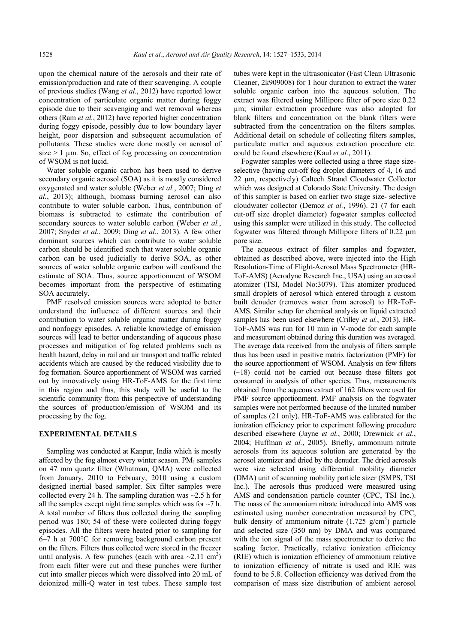upon the chemical nature of the aerosols and their rate of emission/production and rate of their scavenging. A couple of previous studies (Wang *et al.*, 2012) have reported lower concentration of particulate organic matter during foggy episode due to their scavenging and wet removal whereas others (Ram *et al.*, 2012) have reported higher concentration during foggy episode, possibly due to low boundary layer height, poor dispersion and subsequent accumulation of pollutants. These studies were done mostly on aerosol of  $size \geq 1$  µm. So, effect of fog processing on concentration of WSOM is not lucid.

Water soluble organic carbon has been used to derive secondary organic aerosol (SOA) as it is mostly considered oxygenated and water soluble (Weber *et al.*, 2007; Ding *et al.*, 2013); although, biomass burning aerosol can also contribute to water soluble carbon. Thus, contribution of biomass is subtracted to estimate the contribution of secondary sources to water soluble carbon (Weber *et al.*, 2007; Snyder *et al.*, 2009; Ding *et al.*, 2013). A few other dominant sources which can contribute to water soluble carbon should be identified such that water soluble organic carbon can be used judicially to derive SOA, as other sources of water soluble organic carbon will confound the estimate of SOA. Thus, source apportionment of WSOM becomes important from the perspective of estimating SOA accurately.

PMF resolved emission sources were adopted to better understand the influence of different sources and their contribution to water soluble organic matter during foggy and nonfoggy episodes. A reliable knowledge of emission sources will lead to better understanding of aqueous phase processes and mitigation of fog related problems such as health hazard, delay in rail and air transport and traffic related accidents which are caused by the reduced visibility due to fog formation. Source apportionment of WSOM was carried out by innovatively using HR-ToF-AMS for the first time in this region and thus, this study will be useful to the scientific community from this perspective of understanding the sources of production/emission of WSOM and its processing by the fog.

#### **EXPERIMENTAL DETAILS**

Sampling was conducted at Kanpur, India which is mostly affected by the fog almost every winter season.  $PM_1$  samples on 47 mm quartz filter (Whatman, QMA) were collected from January, 2010 to February, 2010 using a custom designed inertial based sampler. Six filter samples were collected every 24 h. The sampling duration was  $\sim$ 2.5 h for all the samples except night time samples which was for  $\sim$ 7 h. A total number of filters thus collected during the sampling period was 180; 54 of these were collected during foggy episodes. All the filters were heated prior to sampling for 6–7 h at 700°C for removing background carbon present on the filters. Filters thus collected were stored in the freezer until analysis. A few punches (each with area  $\sim$ 2.11 cm<sup>2</sup>) from each filter were cut and these punches were further cut into smaller pieces which were dissolved into 20 mL of deionized milli-Q water in test tubes. These sample test

tubes were kept in the ultrasonicator (Fast Clean Ultrasonic Cleaner, 2k909008) for 1 hour duration to extract the water soluble organic carbon into the aqueous solution. The extract was filtered using Millipore filter of pore size 0.22 µm; similar extraction procedure was also adopted for blank filters and concentration on the blank filters were subtracted from the concentration on the filters samples. Additional detail on schedule of collecting filters samples, particulate matter and aqueous extraction procedure etc. could be found elsewhere (Kaul *et al.*, 2011).

Fogwater samples were collected using a three stage sizeselective (having cut-off fog droplet diameters of 4, 16 and 22 µm, respectively) Caltech Strand Cloudwater Collector which was designed at Colorado State University. The design of this sampler is based on earlier two stage size- selective cloudwater collector (Demoz *et al.*, 1996). 21 (7 for each cut-off size droplet diameter) fogwater samples collected using this sampler were utilized in this study. The collected fogwater was filtered through Millipore filters of 0.22 µm pore size.

The aqueous extract of filter samples and fogwater, obtained as described above, were injected into the High Resolution-Time of Flight-Aerosol Mass Spectrometer (HR-ToF-AMS) (Aerodyne Research Inc., USA) using an aerosol atomizer (TSI, Model No:3079). This atomizer produced small droplets of aerosol which entered through a custom built denuder (removes water from aerosol) to HR-ToF-AMS. Similar setup for chemical analysis on liquid extracted samples has been used elsewhere (Crilley *et al.*, 2013). HR-ToF-AMS was run for 10 min in V-mode for each sample and measurement obtained during this duration was averaged. The average data received from the analysis of filters sample thus has been used in positive matrix factorization (PMF) for the source apportionment of WSOM. Analysis on few filters  $(-18)$  could not be carried out because these filters got consumed in analysis of other species. Thus, measurements obtained from the aqueous extract of 162 filters were used for PMF source apportionment. PMF analysis on the fogwater samples were not performed because of the limited number of samples (21 only). HR-ToF-AMS was calibrated for the ionization efficiency prior to experiment following procedure described elsewhere (Jayne *et al.*, 2000; Drewnick *et al.*, 2004; Huffman *et al.*, 2005). Briefly, ammonium nitrate aerosols from its aqueous solution are generated by the aerosol atomizer and dried by the denuder. The dried aerosols were size selected using differential mobility diameter (DMA) unit of scanning mobility particle sizer (SMPS, TSI Inc.). The aerosols thus produced were measured using AMS and condensation particle counter (CPC, TSI Inc.). The mass of the ammonium nitrate introduced into AMS was estimated using number concentration measured by CPC, bulk density of ammonium nitrate  $(1.725 \text{ g/cm}^3)$  particle and selected size (350 nm) by DMA and was compared with the ion signal of the mass spectrometer to derive the scaling factor. Practically, relative ionization efficiency (RIE) which is ionization efficiency of ammonium relative to ionization efficiency of nitrate is used and RIE was found to be 5.8. Collection efficiency was derived from the comparison of mass size distribution of ambient aerosol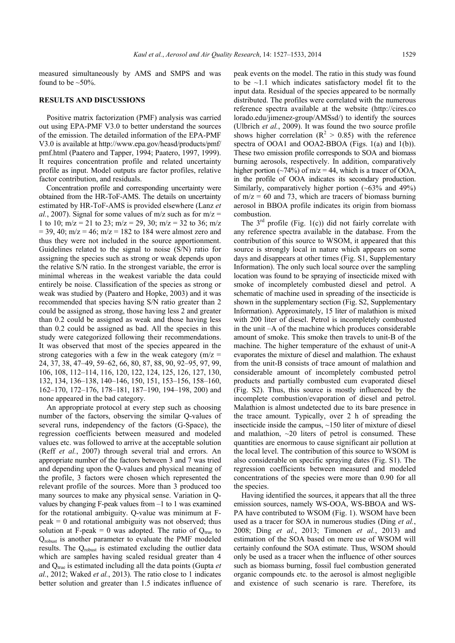measured simultaneously by AMS and SMPS and was found to be  $\sim 50\%$ .

### **RESULTS AND DISCUSSIONS**

Positive matrix factorization (PMF) analysis was carried out using EPA-PMF V3.0 to better understand the sources of the emission. The detailed information of the EPA-PMF V3.0 is available at http://www.epa.gov/heasd/products/pmf/ pmf.html (Paatero and Tapper, 1994; Paatero, 1997, 1999). It requires concentration profile and related uncertainty profile as input. Model outputs are factor profiles, relative factor contribution, and residuals.

Concentration profile and corresponding uncertainty were obtained from the HR-ToF-AMS. The details on uncertainty estimated by HR-ToF-AMS is provided elsewhere (Lanz *et al.*, 2007). Signal for some values of m/z such as for m/z = 1 to 10;  $m/z = 21$  to 23;  $m/z = 29$ , 30;  $m/z = 32$  to 36;  $m/z$  $= 39, 40; m/z = 46; m/z = 182$  to 184 were almost zero and thus they were not included in the source apportionment. Guidelines related to the signal to noise (S/N) ratio for assigning the species such as strong or weak depends upon the relative S/N ratio. In the strongest variable, the error is minimal whereas in the weakest variable the data could entirely be noise. Classification of the species as strong or weak was studied by (Paatero and Hopke, 2003) and it was recommended that species having S/N ratio greater than 2 could be assigned as strong, those having less 2 and greater than 0.2 could be assigned as weak and those having less than 0.2 could be assigned as bad. All the species in this study were categorized following their recommendations. It was observed that most of the species appeared in the strong categories with a few in the weak category ( $m/z =$ 24, 37, 38, 47–49, 59–62, 66, 80, 87, 88, 90, 92–95, 97, 99, 106, 108, 112–114, 116, 120, 122, 124, 125, 126, 127, 130, 132, 134, 136–138, 140–146, 150, 151, 153–156, 158–160, 162–170, 172–176, 178–181, 187–190, 194–198, 200) and none appeared in the bad category.

An appropriate protocol at every step such as choosing number of the factors, observing the similar Q-values of several runs, independency of the factors (G-Space), the regression coefficients between measured and modeled values etc. was followed to arrive at the acceptable solution (Reff *et al.*, 2007) through several trial and errors. An appropriate number of the factors between 3 and 7 was tried and depending upon the Q-values and physical meaning of the profile, 3 factors were chosen which represented the relevant profile of the sources. More than 3 produced too many sources to make any physical sense. Variation in Qvalues by changing F-peak values from –1 to 1 was examined for the rotational ambiguity. Q-value was minimum at F $peak = 0$  and rotational ambiguity was not observed; thus solution at F-peak = 0 was adopted. The ratio of  $Q_{true}$  to Qrobust is another parameter to evaluate the PMF modeled results. The Q<sub>robust</sub> is estimated excluding the outlier data which are samples having scaled residual greater than 4 and  $Q_{true}$  is estimated including all the data points (Gupta  $et$ *al.*, 2012; Waked *et al.*, 2013). The ratio close to 1 indicates better solution and greater than 1.5 indicates influence of peak events on the model. The ratio in this study was found to be  $\sim$ 1.1 which indicates satisfactory model fit to the input data. Residual of the species appeared to be normally distributed. The profiles were correlated with the numerous reference spectra available at the website (http://cires.co lorado.edu/jimenez-group/AMSsd/) to identify the sources (Ulbrich *et al.*, 2009). It was found the two source profile shows higher correlation ( $R^2 > 0.85$ ) with the reference spectra of OOA1 and OOA2-BBOA (Figs. 1(a) and 1(b)). These two emission profile corresponds to SOA and biomass burning aerosols, respectively. In addition, comparatively higher portion ( $\sim$ 74%) of m/z = 44, which is a tracer of OOA, in the profile of OOA indicates its secondary production. Similarly, comparatively higher portion (~63% and 49%) of  $m/z = 60$  and 73, which are tracers of biomass burning aerosol in BBOA profile indicates its origin from biomass combustion.

The  $3<sup>rd</sup>$  profile (Fig. 1(c)) did not fairly correlate with any reference spectra available in the database. From the contribution of this source to WSOM, it appeared that this source is strongly local in nature which appears on some days and disappears at other times (Fig. S1, Supplementary Information). The only such local source over the sampling location was found to be spraying of insecticide mixed with smoke of incompletely combusted diesel and petrol. A schematic of machine used in spreading of the insecticide is shown in the supplementary section (Fig. S2, Supplementary Information). Approximately, 15 liter of malathion is mixed with 200 liter of diesel. Petrol is incompletely combusted in the unit –A of the machine which produces considerable amount of smoke. This smoke then travels to unit-B of the machine. The higher temperature of the exhaust of unit-A evaporates the mixture of diesel and malathion. The exhaust from the unit-B consists of trace amount of malathion and considerable amount of incompletely combusted petrol products and partially combusted cum evaporated diesel (Fig. S2). Thus, this source is mostly influenced by the incomplete combustion/evaporation of diesel and petrol. Malathion is almost undetected due to its bare presence in the trace amount. Typically, over 2 h of spreading the insecticide inside the campus, ~150 liter of mixture of diesel and malathion,  $\sim$ 20 liters of petrol is consumed. These quantities are enormous to cause significant air pollution at the local level. The contribution of this source to WSOM is also considerable on specific spraying dates (Fig. S1). The regression coefficients between measured and modeled concentrations of the species were more than 0.90 for all the species.

Having identified the sources, it appears that all the three emission sources, namely WS-OOA, WS-BBOA and WS-PA have contributed to WSOM (Fig. 1). WSOM have been used as a tracer for SOA in numerous studies (Ding *et al.*, 2008; Ding *et al.*, 2013; Timonen *et al.*, 2013) and estimation of the SOA based on mere use of WSOM will certainly confound the SOA estimate. Thus, WSOM should only be used as a tracer when the influence of other sources such as biomass burning, fossil fuel combustion generated organic compounds etc. to the aerosol is almost negligible and existence of such scenario is rare. Therefore, its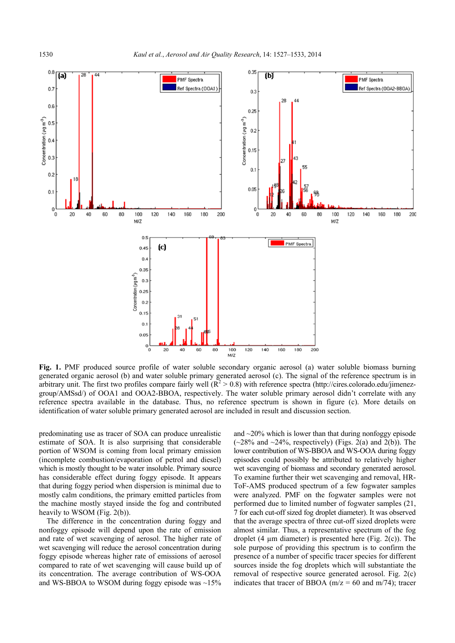

**Fig. 1.** PMF produced source profile of water soluble secondary organic aerosol (a) water soluble biomass burning generated organic aerosol (b) and water soluble primary generated aerosol (c). The signal of the reference spectrum is in arbitrary unit. The first two profiles compare fairly well  $(R^2 > 0.8)$  with reference spectra (http://cires.colorado.edu/jimenezgroup/AMSsd/) of OOA1 and OOA2-BBOA, respectively. The water soluble primary aerosol didn't correlate with any reference spectra available in the database. Thus, no reference spectrum is shown in figure (c). More details on identification of water soluble primary generated aerosol are included in result and discussion section.

predominating use as tracer of SOA can produce unrealistic estimate of SOA. It is also surprising that considerable portion of WSOM is coming from local primary emission (incomplete combustion/evaporation of petrol and diesel) which is mostly thought to be water insoluble. Primary source has considerable effect during foggy episode. It appears that during foggy period when dispersion is minimal due to mostly calm conditions, the primary emitted particles from the machine mostly stayed inside the fog and contributed heavily to WSOM (Fig. 2(b)).

The difference in the concentration during foggy and nonfoggy episode will depend upon the rate of emission and rate of wet scavenging of aerosol. The higher rate of wet scavenging will reduce the aerosol concentration during foggy episode whereas higher rate of emissions of aerosol compared to rate of wet scavenging will cause build up of its concentration. The average contribution of WS-OOA and WS-BBOA to WSOM during foggy episode was  $\sim$ 15%

and  $\sim$ 20% which is lower than that during nonfoggy episode  $(-28\%$  and  $-24\%$ , respectively) (Figs. 2(a) and 2(b)). The lower contribution of WS-BBOA and WS-OOA during foggy episodes could possibly be attributed to relatively higher wet scavenging of biomass and secondary generated aerosol. To examine further their wet scavenging and removal, HR-ToF-AMS produced spectrum of a few fogwater samples were analyzed. PMF on the fogwater samples were not performed due to limited number of fogwater samples (21, 7 for each cut-off sized fog droplet diameter). It was observed that the average spectra of three cut-off sized droplets were almost similar. Thus, a representative spectrum of the fog droplet  $(4 \mu m$  diameter) is presented here (Fig. 2(c)). The sole purpose of providing this spectrum is to confirm the presence of a number of specific tracer species for different sources inside the fog droplets which will substantiate the removal of respective source generated aerosol. Fig. 2(c) indicates that tracer of BBOA ( $m/z = 60$  and  $m/74$ ); tracer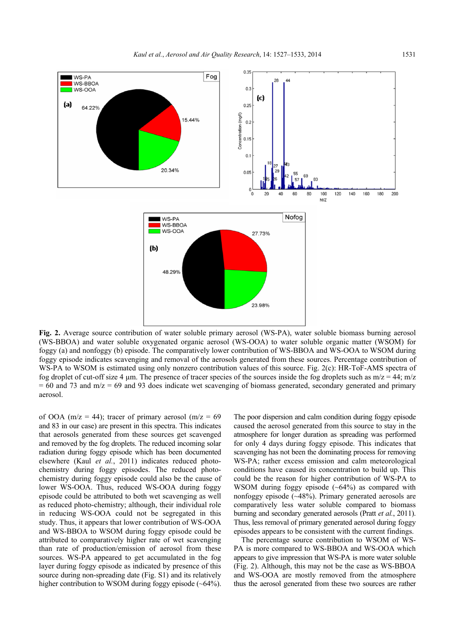

**Fig. 2.** Average source contribution of water soluble primary aerosol (WS-PA), water soluble biomass burning aerosol (WS-BBOA) and water soluble oxygenated organic aerosol (WS-OOA) to water soluble organic matter (WSOM) for foggy (a) and nonfoggy (b) episode. The comparatively lower contribution of WS-BBOA and WS-OOA to WSOM during foggy episode indicates scavenging and removal of the aerosols generated from these sources. Percentage contribution of WS-PA to WSOM is estimated using only nonzero contribution values of this source. Fig. 2(c): HR-ToF-AMS spectra of fog droplet of cut-off size 4 µm. The presence of tracer species of the sources inside the fog droplets such as  $m/z = 44$ ;  $m/z$  $= 60$  and 73 and m/z  $= 69$  and 93 does indicate wet scavenging of biomass generated, secondary generated and primary aerosol.

of OOA ( $m/z = 44$ ); tracer of primary aerosol ( $m/z = 69$ and 83 in our case) are present in this spectra. This indicates that aerosols generated from these sources get scavenged and removed by the fog droplets. The reduced incoming solar radiation during foggy episode which has been documented elsewhere (Kaul *et al.*, 2011) indicates reduced photochemistry during foggy episodes. The reduced photochemistry during foggy episode could also be the cause of lower WS-OOA. Thus, reduced WS-OOA during foggy episode could be attributed to both wet scavenging as well as reduced photo-chemistry; although, their individual role in reducing WS-OOA could not be segregated in this study. Thus, it appears that lower contribution of WS-OOA and WS-BBOA to WSOM during foggy episode could be attributed to comparatively higher rate of wet scavenging than rate of production/emission of aerosol from these sources. WS-PA appeared to get accumulated in the fog layer during foggy episode as indicated by presence of this source during non-spreading date (Fig. S1) and its relatively higher contribution to WSOM during foggy episode (~64%).

The poor dispersion and calm condition during foggy episode caused the aerosol generated from this source to stay in the atmosphere for longer duration as spreading was performed for only 4 days during foggy episode. This indicates that scavenging has not been the dominating process for removing WS-PA; rather excess emission and calm meteorological conditions have caused its concentration to build up. This could be the reason for higher contribution of WS-PA to WSOM during foggy episode (~64%) as compared with nonfoggy episode (~48%). Primary generated aerosols are comparatively less water soluble compared to biomass burning and secondary generated aerosols (Pratt *et al.*, 2011). Thus, less removal of primary generated aerosol during foggy episodes appears to be consistent with the current findings.

The percentage source contribution to WSOM of WS-PA is more compared to WS-BBOA and WS-OOA which appears to give impression that WS-PA is more water soluble (Fig. 2). Although, this may not be the case as WS-BBOA and WS-OOA are mostly removed from the atmosphere thus the aerosol generated from these two sources are rather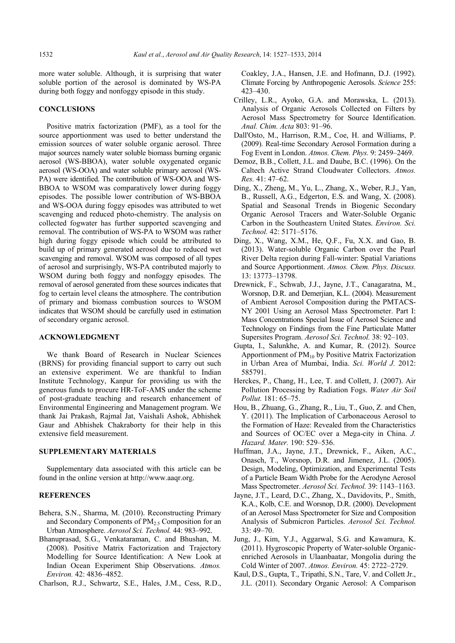more water soluble. Although, it is surprising that water soluble portion of the aerosol is dominated by WS-PA during both foggy and nonfoggy episode in this study.

#### **CONCLUSIONS**

Positive matrix factorization (PMF), as a tool for the source apportionment was used to better understand the emission sources of water soluble organic aerosol. Three major sources namely water soluble biomass burning organic aerosol (WS-BBOA), water soluble oxygenated organic aerosol (WS-OOA) and water soluble primary aerosol (WS-PA) were identified. The contribution of WS-OOA and WS-BBOA to WSOM was comparatively lower during foggy episodes. The possible lower contribution of WS-BBOA and WS-OOA during foggy episodes was attributed to wet scavenging and reduced photo-chemistry. The analysis on collected fogwater has further supported scavenging and removal. The contribution of WS-PA to WSOM was rather high during foggy episode which could be attributed to build up of primary generated aerosol due to reduced wet scavenging and removal. WSOM was composed of all types of aerosol and surprisingly, WS-PA contributed majorly to WSOM during both foggy and nonfoggy episodes. The removal of aerosol generated from these sources indicates that fog to certain level cleans the atmosphere. The contribution of primary and biomass combustion sources to WSOM indicates that WSOM should be carefully used in estimation of secondary organic aerosol.

### **ACKNOWLEDGMENT**

We thank Board of Research in Nuclear Sciences (BRNS) for providing financial support to carry out such an extensive experiment. We are thankful to Indian Institute Technology, Kanpur for providing us with the generous funds to procure HR-ToF-AMS under the scheme of post-graduate teaching and research enhancement of Environmental Engineering and Management program. We thank Jai Prakash, Rajmal Jat, Vaishali Ashok, Abhishek Gaur and Abhishek Chakraborty for their help in this extensive field measurement.

#### **SUPPLEMENTARY MATERIALS**

Supplementary data associated with this article can be found in the online version at http://www.aaqr.org.

#### **REFERENCES**

- Behera, S.N., Sharma, M. (2010). Reconstructing Primary and Secondary Components of  $PM<sub>2.5</sub>$  Composition for an Urban Atmosphere. *Aerosol Sci. Technol.* 44: 983–992.
- Bhanuprasad, S.G., Venkataraman, C. and Bhushan, M. (2008). Positive Matrix Factorization and Trajectory Modelling for Source Identification: A New Look at Indian Ocean Experiment Ship Observations. *Atmos. Environ.* 42: 4836–4852.
- Charlson, R.J., Schwartz, S.E., Hales, J.M., Cess, R.D.,

Coakley, J.A., Hansen, J.E. and Hofmann, D.J. (1992). Climate Forcing by Anthropogenic Aerosols. *Science* 255: 423–430.

- Crilley, L.R., Ayoko, G.A. and Morawska, L. (2013). Analysis of Organic Aerosols Collected on Filters by Aerosol Mass Spectrometry for Source Identification. *Anal. Chim. Acta* 803: 91–96.
- Dall'Osto, M., Harrison, R.M., Coe, H. and Williams, P. (2009). Real-time Secondary Aerosol Formation during a Fog Event in London. *Atmos. Chem. Phys.* 9: 2459–2469.
- Demoz, B.B., Collett, J.L. and Daube, B.C. (1996). On the Caltech Active Strand Cloudwater Collectors. *Atmos. Res.* 41: 47–62.
- Ding, X., Zheng, M., Yu, L., Zhang, X., Weber, R.J., Yan, B., Russell, A.G., Edgerton, E.S. and Wang, X. (2008). Spatial and Seasonal Trends in Biogenic Secondary Organic Aerosol Tracers and Water-Soluble Organic Carbon in the Southeastern United States. *Environ. Sci. Technol.* 42: 5171–5176.
- Ding, X., Wang, X.M., He, Q.F., Fu, X.X. and Gao, B. (2013). Water-soluble Organic Carbon over the Pearl River Delta region during Fall-winter: Spatial Variations and Source Apportionment. *Atmos. Chem. Phys. Discuss.* 13: 13773–13798.
- Drewnick, F., Schwab, J.J., Jayne, J.T., Canagaratna, M., Worsnop, D.R. and Demerjian, K.L. (2004). Measurement of Ambient Aerosol Composition during the PMTACS-NY 2001 Using an Aerosol Mass Spectrometer. Part I: Mass Concentrations Special Issue of Aerosol Science and Technology on Findings from the Fine Particulate Matter Supersites Program. *Aerosol Sci. Technol.* 38: 92–103.
- Gupta, I., Salunkhe, A. and Kumar, R. (2012). Source Apportionment of  $PM_{10}$  by Positive Matrix Factorization in Urban Area of Mumbai, India. *Sci. World J.* 2012: 585791.
- Herckes, P., Chang, H., Lee, T. and Collett, J. (2007). Air Pollution Processing by Radiation Fogs. *Water Air Soil Pollut.* 181: 65–75.
- Hou, B., Zhuang, G., Zhang, R., Liu, T., Guo, Z. and Chen, Y. (2011). The Implication of Carbonaceous Aerosol to the Formation of Haze: Revealed from the Characteristics and Sources of OC/EC over a Mega-city in China. *J. Hazard. Mater.* 190: 529–536.
- Huffman, J.A., Jayne, J.T., Drewnick, F., Aiken, A.C., Onasch, T., Worsnop, D.R. and Jimenez, J.L. (2005). Design, Modeling, Optimization, and Experimental Tests of a Particle Beam Width Probe for the Aerodyne Aerosol Mass Spectrometer. *Aerosol Sci. Technol.* 39: 1143–1163.
- Jayne, J.T., Leard, D.C., Zhang, X., Davidovits, P., Smith, K.A., Kolb, C.E. and Worsnop, D.R. (2000). Development of an Aerosol Mass Spectrometer for Size and Composition Analysis of Submicron Particles. *Aerosol Sci. Technol.* 33: 49–70.
- Jung, J., Kim, Y.J., Aggarwal, S.G. and Kawamura, K. (2011). Hygroscopic Property of Water-soluble Organicenriched Aerosols in Ulaanbaatar, Mongolia during the Cold Winter of 2007. *Atmos. Environ.* 45: 2722–2729.
- Kaul, D.S., Gupta, T., Tripathi, S.N., Tare, V. and Collett Jr., J.L. (2011). Secondary Organic Aerosol: A Comparison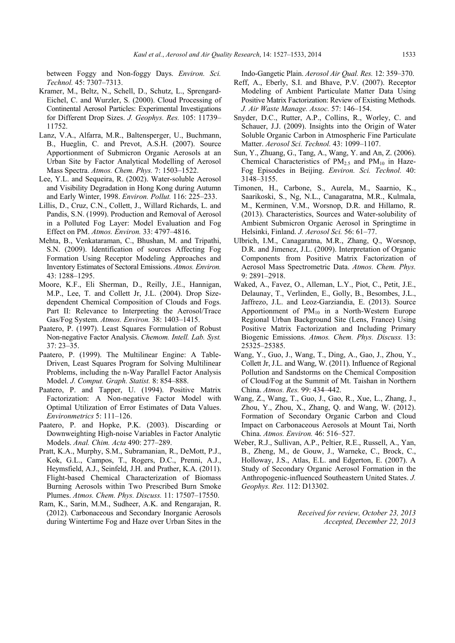between Foggy and Non-foggy Days. *Environ. Sci. Technol.* 45: 7307–7313.

- Kramer, M., Beltz, N., Schell, D., Schutz, L., Sprengard-Eichel, C. and Wurzler, S. (2000). Cloud Processing of Continental Aerosol Particles: Experimental Investigations for Different Drop Sizes. *J. Geophys. Res.* 105: 11739– 11752.
- Lanz, V.A., Alfarra, M.R., Baltensperger, U., Buchmann, B., Hueglin, C. and Prevot, A.S.H. (2007). Source Apportionment of Submicron Organic Aerosols at an Urban Site by Factor Analytical Modelling of Aerosol Mass Spectra. *Atmos. Chem. Phys.* 7: 1503–1522.
- Lee, Y.L. and Sequeira, R. (2002). Water-soluble Aerosol and Visibility Degradation in Hong Kong during Autumn and Early Winter, 1998. *Environ. Pollut.* 116: 225–233.
- Lillis, D., Cruz, C.N., Collett, J., Willard Richards, L. and Pandis, S.N. (1999). Production and Removal of Aerosol in a Polluted Fog Layer: Model Evaluation and Fog Effect on PM. *Atmos. Environ.* 33: 4797–4816.
- Mehta, B., Venkataraman, C., Bhushan, M. and Tripathi, S.N. (2009). Identification of sources Affecting Fog Formation Using Receptor Modeling Approaches and Inventory Estimates of Sectoral Emissions. *Atmos. Environ.* 43: 1288–1295.
- Moore, K.F., Eli Sherman, D., Reilly, J.E., Hannigan, M.P., Lee, T. and Collett Jr, J.L. (2004). Drop Sizedependent Chemical Composition of Clouds and Fogs. Part II: Relevance to Interpreting the Aerosol/Trace Gas/Fog System. *Atmos. Environ.* 38: 1403–1415.
- Paatero, P. (1997). Least Squares Formulation of Robust Non-negative Factor Analysis. *Chemom. Intell. Lab. Syst.* 37: 23–35.
- Paatero, P. (1999). The Multilinear Engine: A Table-Driven, Least Squares Program for Solving Multilinear Problems, including the n-Way Parallel Factor Analysis Model. *J. Comput. Graph. Statist.* 8: 854–888.
- Paatero, P. and Tapper, U. (1994). Positive Matrix Factorization: A Non-negative Factor Model with Optimal Utilization of Error Estimates of Data Values. *Environmetrics* 5: 111–126.
- Paatero, P. and Hopke, P.K. (2003). Discarding or Downweighting High-noise Variables in Factor Analytic Models. *Anal. Chim. Acta* 490: 277–289.
- Pratt, K.A., Murphy, S.M., Subramanian, R., DeMott, P.J., Kok, G.L., Campos, T., Rogers, D.C., Prenni, A.J., Heymsfield, A.J., Seinfeld, J.H. and Prather, K.A. (2011). Flight-based Chemical Characterization of Biomass Burning Aerosols within Two Prescribed Burn Smoke Plumes. *Atmos. Chem. Phys. Discuss.* 11: 17507–17550.
- Ram, K., Sarin, M.M., Sudheer, A.K. and Rengarajan, R. (2012). Carbonaceous and Secondary Inorganic Aerosols during Wintertime Fog and Haze over Urban Sites in the

Indo-Gangetic Plain. *Aerosol Air Qual. Res.* 12: 359–370.

- Reff, A., Eberly, S.I. and Bhave, P.V. (2007). Receptor Modeling of Ambient Particulate Matter Data Using Positive Matrix Factorization: Review of Existing Methods. *J. Air Waste Manage. Assoc.* 57: 146–154.
- Snyder, D.C., Rutter, A.P., Collins, R., Worley, C. and Schauer, J.J. (2009). Insights into the Origin of Water Soluble Organic Carbon in Atmospheric Fine Particulate Matter. *Aerosol Sci. Technol.* 43: 1099–1107.
- Sun, Y., Zhuang, G., Tang, A., Wang, Y. and An, Z. (2006). Chemical Characteristics of  $PM_{2.5}$  and  $PM_{10}$  in Haze-Fog Episodes in Beijing. *Environ. Sci. Technol.* 40: 3148–3155.
- Timonen, H., Carbone, S., Aurela, M., Saarnio, K., Saarikoski, S., Ng, N.L., Canagaratna, M.R., Kulmala, M., Kerminen, V.M., Worsnop, D.R. and Hillamo, R. (2013). Characteristics, Sources and Water-solubility of Ambient Submicron Organic Aerosol in Springtime in Helsinki, Finland. *J. Aerosol Sci.* 56: 61–77.
- Ulbrich, I.M., Canagaratna, M.R., Zhang, Q., Worsnop, D.R. and Jimenez, J.L. (2009). Interpretation of Organic Components from Positive Matrix Factorization of Aerosol Mass Spectrometric Data. *Atmos. Chem. Phys.* 9: 2891–2918.
- Waked, A., Favez, O., Alleman, L.Y., Piot, C., Petit, J.E., Delaunay, T., Verlinden, E., Golly, B., Besombes, J.L., Jaffrezo, J.L. and Leoz-Garziandia, E. (2013). Source Apportionment of  $PM_{10}$  in a North-Western Europe Regional Urban Background Site (Lens, France) Using Positive Matrix Factorization and Including Primary Biogenic Emissions. *Atmos. Chem. Phys. Discuss.* 13: 25325–25385.
- Wang, Y., Guo, J., Wang, T., Ding, A., Gao, J., Zhou, Y., Collett Jr, J.L. and Wang, W. (2011). Influence of Regional Pollution and Sandstorms on the Chemical Composition of Cloud/Fog at the Summit of Mt. Taishan in Northern China. *Atmos. Res.* 99: 434–442.
- Wang, Z., Wang, T., Guo, J., Gao, R., Xue, L., Zhang, J., Zhou, Y., Zhou, X., Zhang, Q. and Wang, W. (2012). Formation of Secondary Organic Carbon and Cloud Impact on Carbonaceous Aerosols at Mount Tai, North China. *Atmos. Environ.* 46: 516–527.
- Weber, R.J., Sullivan, A.P., Peltier, R.E., Russell, A., Yan, B., Zheng, M., de Gouw, J., Warneke, C., Brock, C., Holloway, J.S., Atlas, E.L. and Edgerton, E. (2007). A Study of Secondary Organic Aerosol Formation in the Anthropogenic-influenced Southeastern United States. *J. Geophys. Res.* 112: D13302.

*Received for review, October 23, 2013 Accepted, December 22, 2013*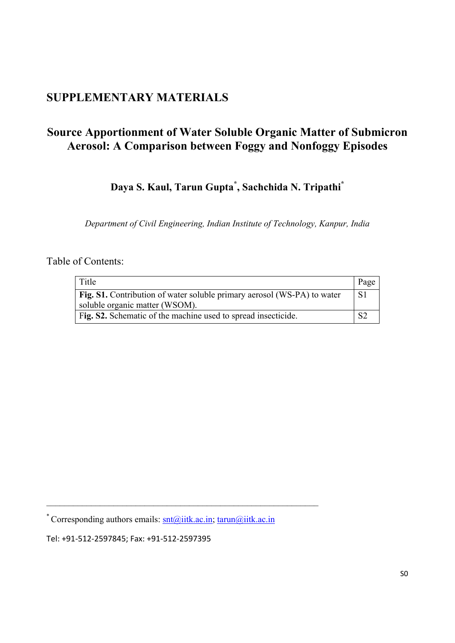# **SUPPLEMENTARY MATERIALS**

# **Source Apportionment of Water Soluble Organic Matter of Submicron Aerosol: A Comparison between Foggy and Nonfoggy Episodes**

**Daya S. Kaul, Tarun Gupta\* , Sachchida N. Tripathi\***

*Department of Civil Engineering, Indian Institute of Technology, Kanpur, India* 

# Table of Contents:

| Title                                                                   | Page           |
|-------------------------------------------------------------------------|----------------|
| Fig. S1. Contribution of water soluble primary aerosol (WS-PA) to water | S <sub>1</sub> |
| soluble organic matter (WSOM).                                          |                |
| Fig. S2. Schematic of the machine used to spread insecticide.           |                |

\* Corresponding authors emails: snt@iitk.ac.in; tarun@iitk.ac.in

 $\mathcal{L}_\text{max}$  , and the contract of the contract of the contract of the contract of the contract of the contract of the contract of the contract of the contract of the contract of the contract of the contract of the contr

Tel: +91‐512‐2597845; Fax: +91‐512‐2597395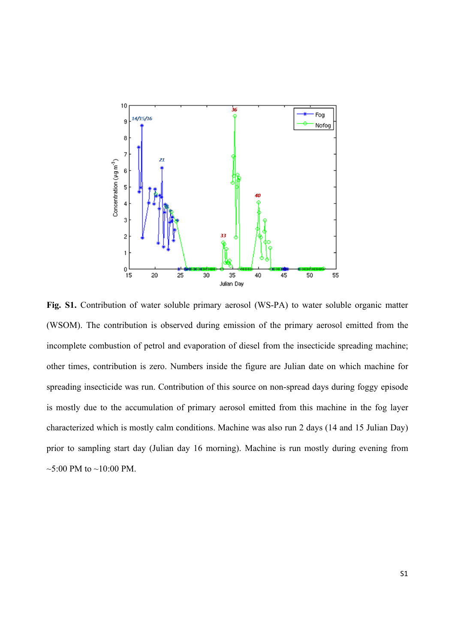

**Fig. S1.** Contribution of water soluble primary aerosol (WS-PA) to water soluble organic matter (WSOM). The contribution is observed during emission of the primary aerosol emitted from the incomplete combustion of petrol and evaporation of diesel from the insecticide spreading machine; other times, contribution is zero. Numbers inside the figure are Julian date on which machine for spreading insecticide was run. Contribution of this source on non-spread days during foggy episode is mostly due to the accumulation of primary aerosol emitted from this machine in the fog layer characterized which is mostly calm conditions. Machine was also run 2 days (14 and 15 Julian Day) prior to sampling start day (Julian day 16 morning). Machine is run mostly during evening from  $\sim$ 5:00 PM to  $\sim$ 10:00 PM.